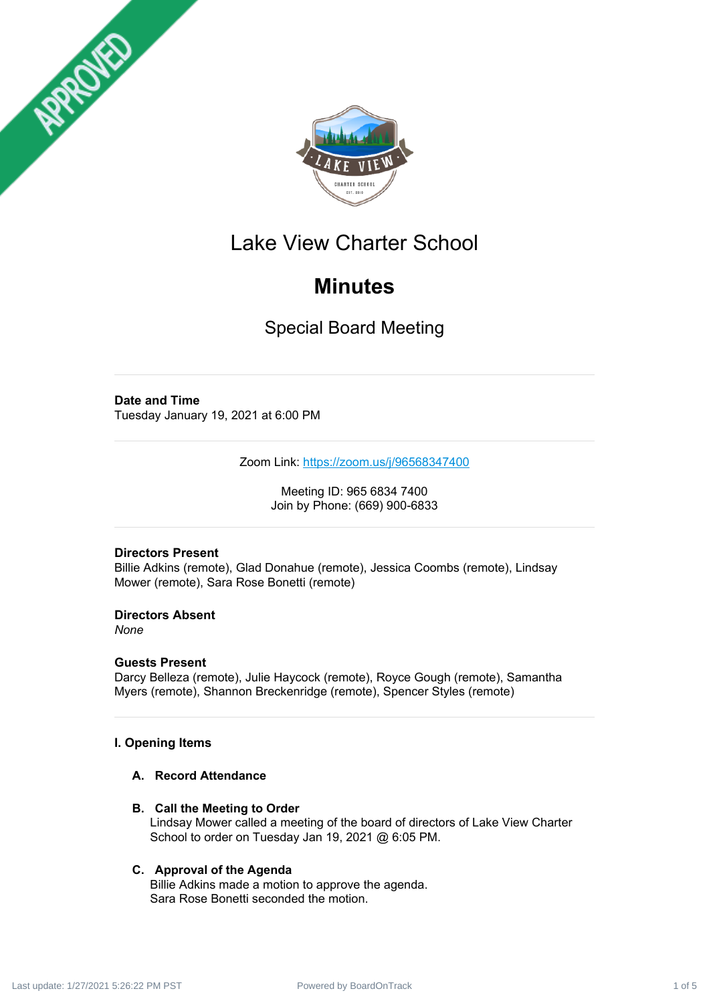



# Lake View Charter School

# **Minutes**

Special Board Meeting

# **Date and Time**

Tuesday January 19, 2021 at 6:00 PM

Zoom Link: <https://zoom.us/j/96568347400>

Meeting ID: 965 6834 7400 Join by Phone: (669) 900-6833

# **Directors Present**

Billie Adkins (remote), Glad Donahue (remote), Jessica Coombs (remote), Lindsay Mower (remote), Sara Rose Bonetti (remote)

**Directors Absent**

*None*

# **Guests Present**

Darcy Belleza (remote), Julie Haycock (remote), Royce Gough (remote), Samantha Myers (remote), Shannon Breckenridge (remote), Spencer Styles (remote)

# **I. Opening Items**

### **A. Record Attendance**

**B. Call the Meeting to Order**

Lindsay Mower called a meeting of the board of directors of Lake View Charter School to order on Tuesday Jan 19, 2021 @ 6:05 PM.

# **C. Approval of the Agenda**

Billie Adkins made a motion to approve the agenda. Sara Rose Bonetti seconded the motion.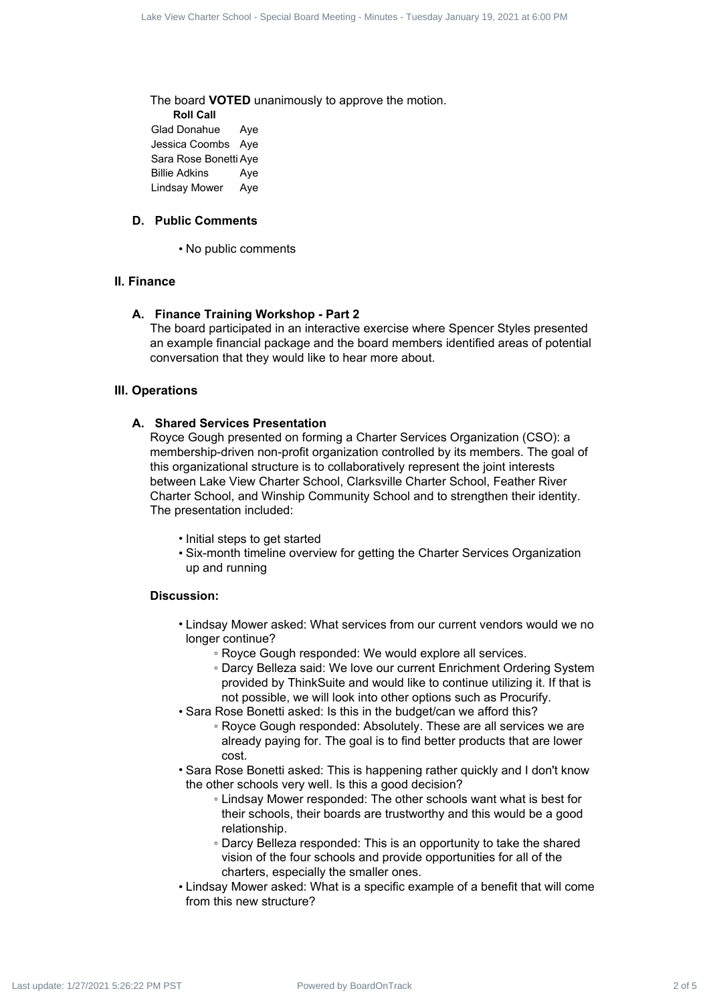The board **VOTED** unanimously to approve the motion. **Roll Call** Glad Donahue Aye Jessica Coombs Aye Sara Rose Bonetti Aye Billie Adkins Aye Lindsay Mower Aye

#### **D. Public Comments**

• No public comments

#### **II. Finance**

#### **A. Finance Training Workshop - Part 2**

The board participated in an interactive exercise where Spencer Styles presented an example financial package and the board members identified areas of potential conversation that they would like to hear more about.

#### **III. Operations**

#### **A. Shared Services Presentation**

Royce Gough presented on forming a Charter Services Organization (CSO): a membership-driven non-profit organization controlled by its members. The goal of this organizational structure is to collaboratively represent the joint interests between Lake View Charter School, Clarksville Charter School, Feather River Charter School, and Winship Community School and to strengthen their identity. The presentation included: Universide distribution (Special Board Real Board Track 2 of Figure 2 of Figure 2 of Figure 2 of Figure 2 of Figure 2 of Figure 2 of Figure 2 of Figure 2 of Figure 2 of Figure 2 of Figure 2 of Figure 2 of Figure 2 of Fi

- Initial steps to get started
- Six-month timeline overview for getting the Charter Services Organization up and running

#### **Discussion:**

- Lindsay Mower asked: What services from our current vendors would we no longer continue?
	- Royce Gough responded: We would explore all services.
	- Darcy Belleza said: We love our current Enrichment Ordering System provided by ThinkSuite and would like to continue utilizing it. If that is not possible, we will look into other options such as Procurify.
- Sara Rose Bonetti asked: Is this in the budget/can we afford this?
	- Royce Gough responded: Absolutely. These are all services we are already paying for. The goal is to find better products that are lower cost.
- Sara Rose Bonetti asked: This is happening rather quickly and I don't know the other schools very well. Is this a good decision?
	- Lindsay Mower responded: The other schools want what is best for their schools, their boards are trustworthy and this would be a good relationship.
	- Darcy Belleza responded: This is an opportunity to take the shared vision of the four schools and provide opportunities for all of the charters, especially the smaller ones.
- Lindsay Mower asked: What is a specific example of a benefit that will come from this new structure?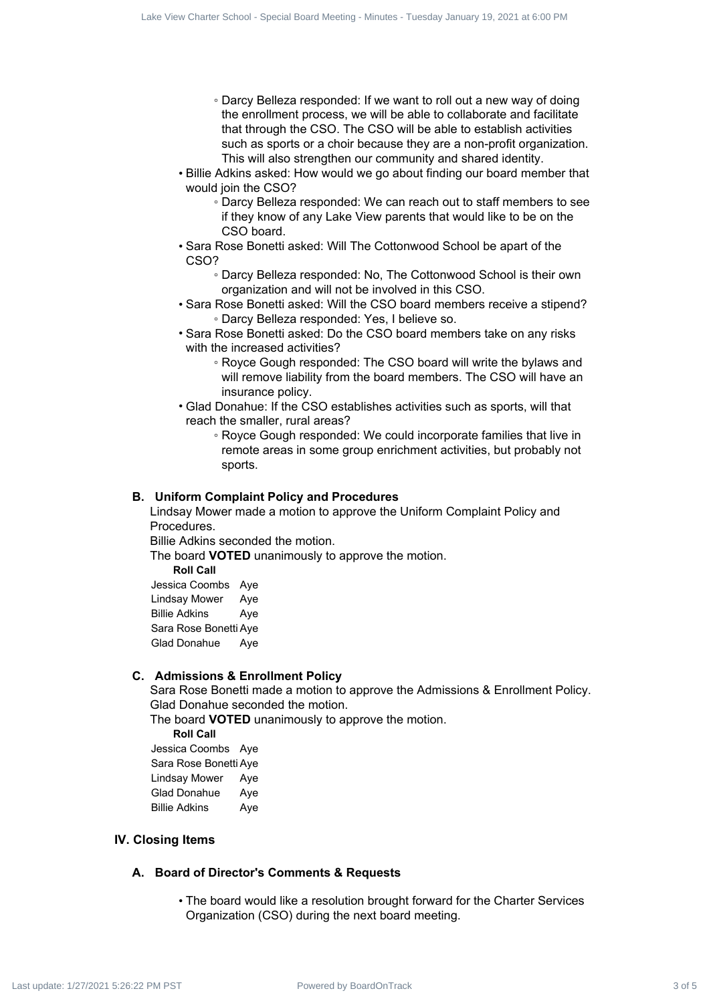- Darcy Belleza responded: If we want to roll out a new way of doing the enrollment process, we will be able to collaborate and facilitate that through the CSO. The CSO will be able to establish activities such as sports or a choir because they are a non-profit organization. This will also strengthen our community and shared identity. Using the contract state of 5 Lake View Charter School - Special Board Charter School - Special Board Charter School - Special Board Charter School - Special Board Charter School - Special Board Charter School - Special B
	- Billie Adkins asked: How would we go about finding our board member that would join the CSO?
		- Darcy Belleza responded: We can reach out to staff members to see if they know of any Lake View parents that would like to be on the CSO board.
	- Sara Rose Bonetti asked: Will The Cottonwood School be apart of the CSO?
		- Darcy Belleza responded: No, The Cottonwood School is their own organization and will not be involved in this CSO.
	- Sara Rose Bonetti asked: Will the CSO board members receive a stipend? ◦ Darcy Belleza responded: Yes, I believe so.
	- Sara Rose Bonetti asked: Do the CSO board members take on any risks with the increased activities?
		- Royce Gough responded: The CSO board will write the bylaws and will remove liability from the board members. The CSO will have an insurance policy.
	- Glad Donahue: If the CSO establishes activities such as sports, will that reach the smaller, rural areas?
		- Royce Gough responded: We could incorporate families that live in remote areas in some group enrichment activities, but probably not sports.

#### **B. Uniform Complaint Policy and Procedures**

Lindsay Mower made a motion to approve the Uniform Complaint Policy and Procedures.

Billie Adkins seconded the motion.

The board **VOTED** unanimously to approve the motion.

**Roll Call**

Jessica Coombs Aye Lindsay Mower Aye Billie Adkins Aye Sara Rose Bonetti Aye Glad Donahue Aye

#### **C. Admissions & Enrollment Policy**

Sara Rose Bonetti made a motion to approve the Admissions & Enrollment Policy. Glad Donahue seconded the motion.

The board **VOTED** unanimously to approve the motion.

**Roll Call**

Jessica Coombs Aye Sara Rose Bonetti Aye Lindsay Mower Aye Glad Donahue Aye Billie Adkins Aye

#### **IV. Closing Items**

#### **A. Board of Director's Comments & Requests**

• The board would like a resolution brought forward for the Charter Services Organization (CSO) during the next board meeting.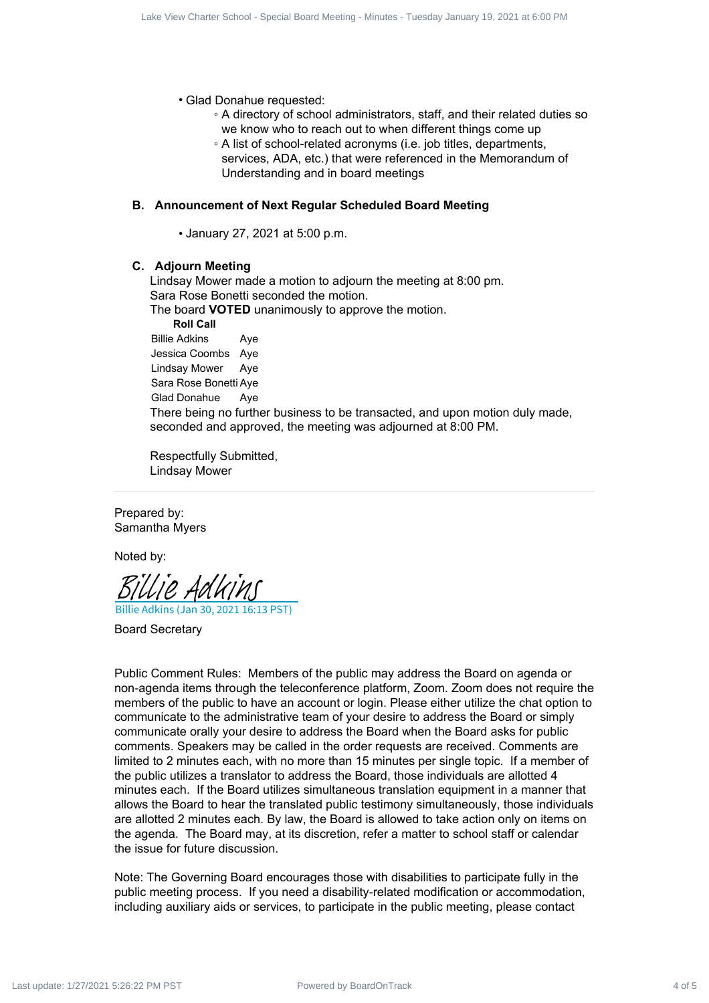• Glad Donahue requested:

- A directory of school administrators, staff, and their related duties so we know who to reach out to when different things come up
- A list of school-related acronyms (i.e. job titles, departments, services, ADA, etc.) that were referenced in the Memorandum of Understanding and in board meetings

#### **B. Announcement of Next Regular Scheduled Board Meeting**

• January 27, 2021 at 5:00 p.m.

#### **C. Adjourn Meeting**

Lindsay Mower made a motion to adjourn the meeting at 8:00 pm. Sara Rose Bonetti seconded the motion.

The board **VOTED** unanimously to approve the motion.

**Roll Call**

Billie Adkins Aye Jessica Coombs Aye Lindsay Mower Aye Sara Rose Bonetti Aye Glad Donahue Aye There being no further business to be transacted, and upon motion duly made, seconded and approved, the meeting was adjourned at 8:00 PM.

Respectfully Submitted, Lindsay Mower

Prepared by: Samantha Myers

Noted by:

Billie Adkins (Jan 30, 2021 16:13 PST) [Billie Adkins](https://na2.documents.adobe.com/verifier?tx=CBJCHBCAABAAnAaV11PQQIEWgONxcQksIq032IiTXA9Y)

Board Secretary

Public Comment Rules: Members of the public may address the Board on agenda or non-agenda items through the teleconference platform, Zoom. Zoom does not require the members of the public to have an account or login. Please either utilize the chat option to communicate to the administrative team of your desire to address the Board or simply communicate orally your desire to address the Board when the Board asks for public comments. Speakers may be called in the order requests are received. Comments are limited to 2 minutes each, with no more than 15 minutes per single topic. If a member of the public utilizes a translator to address the Board, those individuals are allotted 4 minutes each. If the Board utilizes simultaneous translation equipment in a manner that allows the Board to hear the translated public testimony simultaneously, those individuals are allotted 2 minutes each. By law, the Board is allowed to take action only on items on the agenda. The Board may, at its discretion, refer a matter to school staff or calendar the issue for future discussion. Contract 4 of 5 Law Theorem and the specified by Board Track 4 of 5 Law Theorem and the specified by Anti-Contract 4 of 5 Law Theorem and the specified by Anti-Contract 4 of 5 Law Theorem and the specified by Anti-Contrac

Note: The Governing Board encourages those with disabilities to participate fully in the public meeting process. If you need a disability-related modification or accommodation, including auxiliary aids or services, to participate in the public meeting, please contact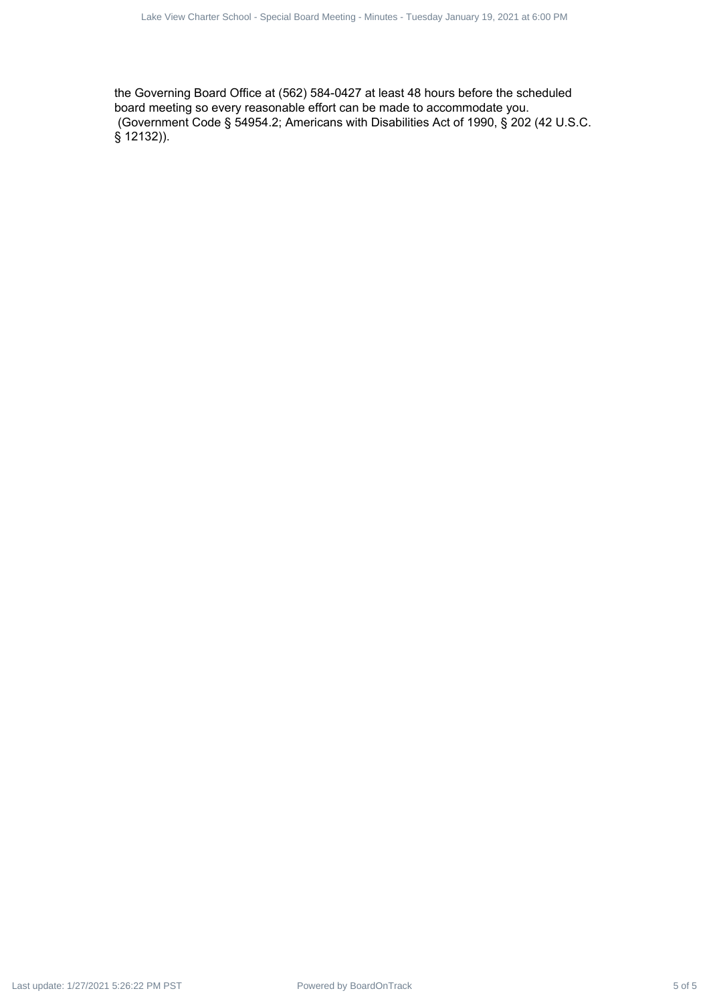the Governing Board Office at (562) 584-0427 at least 48 hours before the scheduled board meeting so every reasonable effort can be made to accommodate you. (Government Code § 54954.2; Americans with Disabilities Act of 1990, § 202 (42 U.S.C. § 12132)).  $P_{\text{out}}$  - Special Board Office at (362) 5 GM companies which Track 5 of 2021 at 6:000 PM Last update: 1/27/2021 5:26:22 PM Last update: 1/27/2021 5:26:22 PM Last update: 1/27/2021 5:27/2021 5:27/2021 5:27/2021 5:27/2021